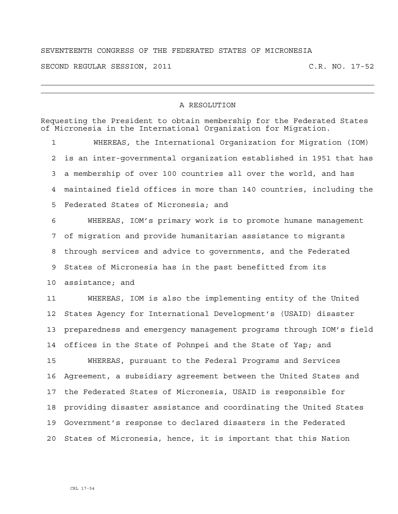## SEVENTEENTH CONGRESS OF THE FEDERATED STATES OF MICRONESIA

SECOND REGULAR SESSION, 2011 C.R. NO. 17-52

## A RESOLUTION

Requesting the President to obtain membership for the Federated States of Micronesia in the International Organization for Migration.

1 WHEREAS, the International Organization for Migration (IOM) 2 is an inter-governmental organization established in 1951 that has 3 a membership of over 100 countries all over the world, and has 4 maintained field offices in more than 140 countries, including the 5 Federated States of Micronesia; and

6 WHEREAS, IOM's primary work is to promote humane management 7 of migration and provide humanitarian assistance to migrants 8 through services and advice to governments, and the Federated 9 States of Micronesia has in the past benefitted from its 10 assistance; and

11 WHEREAS, IOM is also the implementing entity of the United 12 States Agency for International Development's (USAID) disaster 13 preparedness and emergency management programs through IOM's field 14 offices in the State of Pohnpei and the State of Yap; and

15 WHEREAS, pursuant to the Federal Programs and Services 16 Agreement, a subsidiary agreement between the United States and 17 the Federated States of Micronesia, USAID is responsible for 18 providing disaster assistance and coordinating the United States 19 Government's response to declared disasters in the Federated 20 States of Micronesia, hence, it is important that this Nation